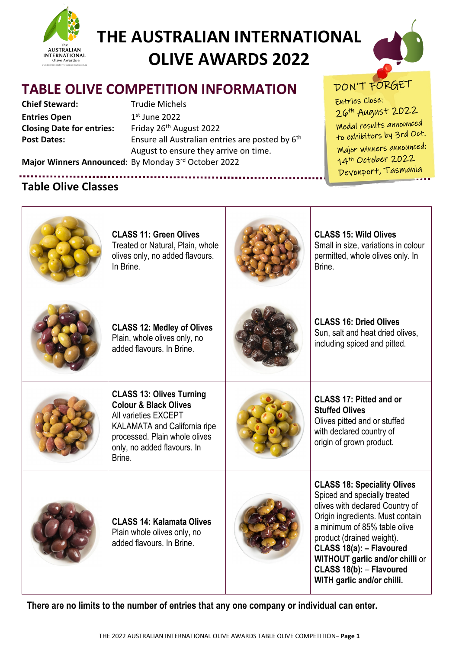



# **TABLE OLIVE COMPETITION INFORMATION**

**Chief Steward:** Trudie Michels **Entries Open** 1st June 2022 **Closing Date for entries:** Friday 26<sup>th</sup> August 2022

Post Dates: Ensure all Australian entries are posted by 6<sup>th</sup> August to ensure they arrive on time.

DON'T FORGET

Entries Close: 26<sup>th</sup> August 2022 Medal results announced to exhibitors by 3rd Oct. Major winners announced: 14<sup>th</sup> October 2022 Devonport, Tasmania

**Major Winners Announced**: By Monday 3rd October 2022

# **Table Olive Classes**

| <b>CLASS 11: Green Olives</b><br>Treated or Natural, Plain, whole<br>olives only, no added flavours.<br>In Brine.                                                                                            | <b>CLASS 15: Wild Olives</b><br>Small in size, variations in colour<br>permitted, whole olives only. In<br>Brine.                                                                                                                                                                                                               |
|--------------------------------------------------------------------------------------------------------------------------------------------------------------------------------------------------------------|---------------------------------------------------------------------------------------------------------------------------------------------------------------------------------------------------------------------------------------------------------------------------------------------------------------------------------|
| <b>CLASS 12: Medley of Olives</b><br>Plain, whole olives only, no<br>added flavours. In Brine.                                                                                                               | <b>CLASS 16: Dried Olives</b><br>Sun, salt and heat dried olives,<br>including spiced and pitted.                                                                                                                                                                                                                               |
| <b>CLASS 13: Olives Turning</b><br><b>Colour &amp; Black Olives</b><br>All varieties EXCEPT<br><b>KALAMATA and California ripe</b><br>processed. Plain whole olives<br>only, no added flavours. In<br>Brine. | <b>CLASS 17: Pitted and or</b><br><b>Stuffed Olives</b><br>Olives pitted and or stuffed<br>with declared country of<br>origin of grown product.                                                                                                                                                                                 |
| <b>CLASS 14: Kalamata Olives</b><br>Plain whole olives only, no<br>added flavours. In Brine.                                                                                                                 | <b>CLASS 18: Speciality Olives</b><br>Spiced and specially treated<br>olives with declared Country of<br>Origin ingredients. Must contain<br>a minimum of 85% table olive<br>product (drained weight).<br>CLASS 18(a): - Flavoured<br>WITHOUT garlic and/or chilli or<br>CLASS 18(b): - Flavoured<br>WITH garlic and/or chilli. |

**There are no limits to the number of entries that any one company or individual can enter.**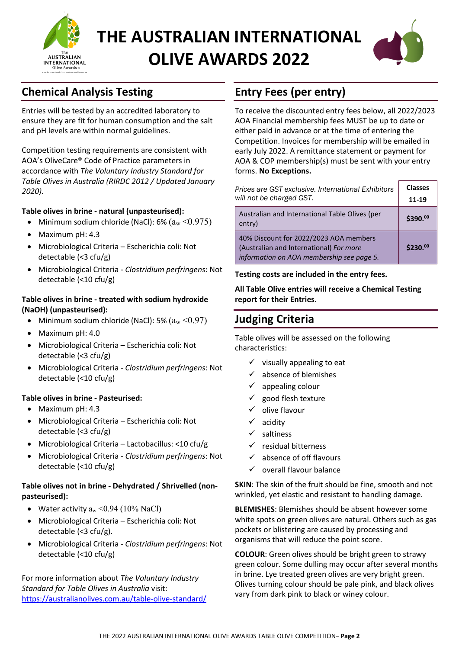



# **Chemical Analysis Testing**

Entries will be tested by an accredited laboratory to ensure they are fit for human consumption and the salt and pH levels are within normal guidelines.

Competition testing requirements are consistent with AOA's OliveCare® Code of Practice parameters in accordance with *The Voluntary Industry Standard for Table Olives in Australia (RIRDC 2012 / Updated January 2020).* 

#### **Table olives in brine - natural (unpasteurised):**

- Minimum sodium chloride (NaCl):  $6\%$   $(a_w < 0.975)$
- Maximum pH: 4.3
- Microbiological Criteria Escherichia coli: Not detectable (<3 cfu/g)
- Microbiological Criteria *Clostridium perfringens*: Not detectable (<10 cfu/g)

#### **Table olives in brine - treated with sodium hydroxide (NaOH) (unpasteurised):**

- Minimum sodium chloride (NaCl): 5%  $(a_w < 0.97)$
- Maximum pH: 4.0
- Microbiological Criteria Escherichia coli: Not detectable (<3 cfu/g)
- Microbiological Criteria *Clostridium perfringens*: Not detectable (<10 cfu/g)

#### **Table olives in brine - Pasteurised:**

- Maximum pH: 4.3
- Microbiological Criteria Escherichia coli: Not detectable (<3 cfu/g)
- Microbiological Criteria Lactobacillus: <10 cfu/g
- Microbiological Criteria *Clostridium perfringens*: Not detectable (<10 cfu/g)

#### **Table olives not in brine - Dehydrated / Shrivelled (nonpasteurised):**

- Water activity  $a_w < 0.94$  (10% NaCl)
- Microbiological Criteria Escherichia coli: Not detectable (<3 cfu/g).
- Microbiological Criteria *Clostridium perfringens*: Not detectable (<10 cfu/g)

For more information about *The Voluntary Industry Standard for Table Olives in Australia* visit: <https://australianolives.com.au/table-olive-standard/>

## **Entry Fees (per entry)**

To receive the discounted entry fees below, all 2022/2023 AOA Financial membership fees MUST be up to date or either paid in advance or at the time of entering the Competition. Invoices for membership will be emailed in early July 2022. A remittance statement or payment for AOA & COP membership(s) must be sent with your entry forms. **No Exceptions.**

| Prices are GST exclusive. International Exhibitors<br>will not be charged GST.                                                 | <b>Classes</b><br>11-19 |
|--------------------------------------------------------------------------------------------------------------------------------|-------------------------|
| Australian and International Table Olives (per<br>entry)                                                                       | $$390.^{00}$            |
| 40% Discount for 2022/2023 AOA members<br>(Australian and International) For more<br>information on AOA membership see page 5. | \$230.00                |

#### **Testing costs are included in the entry fees.**

**All Table Olive entries will receive a Chemical Testing report for their Entries.**

### **Judging Criteria**

Table olives will be assessed on the following characteristics:

- $\checkmark$  visually appealing to eat
- absence of blemishes
- $\checkmark$  appealing colour
- good flesh texture
- $\checkmark$  olive flavour
- acidity
- $\checkmark$  saltiness
- $\checkmark$  residual bitterness
- $\checkmark$  absence of off flavours
- $\checkmark$  overall flavour balance

**SKIN**: The skin of the fruit should be fine, smooth and not wrinkled, yet elastic and resistant to handling damage.

**BLEMISHES**: Blemishes should be absent however some white spots on green olives are natural. Others such as gas pockets or blistering are caused by processing and organisms that will reduce the point score.

**COLOUR**: Green olives should be bright green to strawy green colour. Some dulling may occur after several months in brine. Lye treated green olives are very bright green. Olives turning colour should be pale pink, and black olives vary from dark pink to black or winey colour.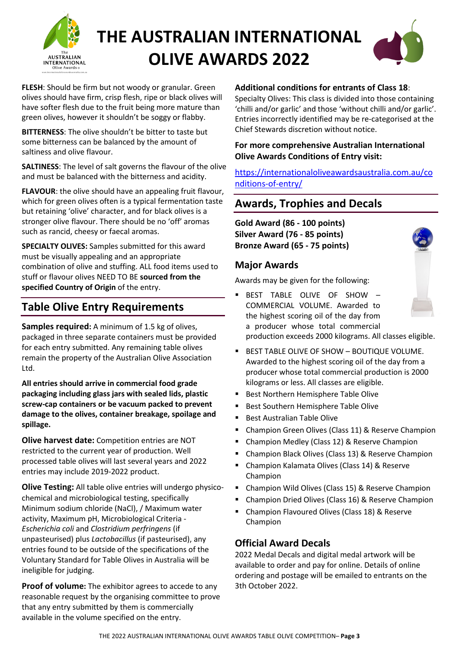



**FLESH**: Should be firm but not woody or granular. Green olives should have firm, crisp flesh, ripe or black olives will have softer flesh due to the fruit being more mature than green olives, however it shouldn't be soggy or flabby.

**BITTERNESS**: The olive shouldn't be bitter to taste but some bitterness can be balanced by the amount of saltiness and olive flavour.

**SALTINESS**: The level of salt governs the flavour of the olive and must be balanced with the bitterness and acidity.

**FLAVOUR**: the olive should have an appealing fruit flavour, which for green olives often is a typical fermentation taste but retaining 'olive' character, and for black olives is a stronger olive flavour. There should be no 'off' aromas such as rancid, cheesy or faecal aromas.

**SPECIALTY OLIVES:** Samples submitted for this award must be visually appealing and an appropriate combination of olive and stuffing. ALL food items used to stuff or flavour olives NEED TO BE **sourced from the specified Country of Origin** of the entry.

## **Table Olive Entry Requirements**

**Samples required:** A minimum of 1.5 kg of olives, packaged in three separate containers must be provided for each entry submitted. Any remaining table olives remain the property of the Australian Olive Association Ltd.

**All entries should arrive in commercial food grade packaging including glass jars with sealed lids, plastic screw-cap containers or be vacuum packed to prevent damage to the olives, container breakage, spoilage and spillage.**

**Olive harvest date:** Competition entries are NOT restricted to the current year of production. Well processed table olives will last several years and 2022 entries may include 2019-2022 product.

**Olive Testing:** All table olive entries will undergo physicochemical and microbiological testing, specifically Minimum sodium chloride (NaCl), / Maximum water activity, Maximum pH, Microbiological Criteria - *Escherichia coli* and *Clostridium perfringens* (if unpasteurised) plus *Lactobacillus* (if pasteurised), any entries found to be outside of the specifications of the Voluntary Standard for Table Olives in Australia will be ineligible for judging.

**Proof of volume:** The exhibitor agrees to accede to any reasonable request by the organising committee to prove that any entry submitted by them is commercially available in the volume specified on the entry.

#### **Additional conditions for entrants of Class 18**:

Specialty Olives: This class is divided into those containing 'chilli and/or garlic' and those 'without chilli and/or garlic'. Entries incorrectly identified may be re-categorised at the Chief Stewards discretion without notice.

#### **For more comprehensive Australian International Olive Awards Conditions of Entry visit:**

[https://internationaloliveawardsaustralia.com.au/co](https://internationaloliveawardsaustralia.com.au/conditions-of-entry/) [nditions-of-entry/](https://internationaloliveawardsaustralia.com.au/conditions-of-entry/) 

### **Awards, Trophies and Decals**

**Gold Award (86 - 100 points) Silver Award (76 - 85 points) Bronze Award (65 - 75 points)**

#### **Major Awards**

Awards may be given for the following:

 BEST TABLE OLIVE OF SHOW – COMMERCIAL VOLUME. Awarded to the highest scoring oil of the day from a producer whose total commercial production exceeds 2000 kilograms. All classes eligible.



- **BEST TABLE OLIVE OF SHOW BOUTIQUE VOLUME.** Awarded to the highest scoring oil of the day from a producer whose total commercial production is 2000 kilograms or less. All classes are eligible.
- **Best Northern Hemisphere Table Olive**
- **Best Southern Hemisphere Table Olive**
- Best Australian Table Olive
- Champion Green Olives (Class 11) & Reserve Champion
- Champion Medley (Class 12) & Reserve Champion
- Champion Black Olives (Class 13) & Reserve Champion
- Champion Kalamata Olives (Class 14) & Reserve Champion
- Champion Wild Olives (Class 15) & Reserve Champion
- Champion Dried Olives (Class 16) & Reserve Champion
- Champion Flavoured Olives (Class 18) & Reserve Champion

#### **Official Award Decals**

2022 Medal Decals and digital medal artwork will be available to order and pay for online. Details of online ordering and postage will be emailed to entrants on the 3th October 2022.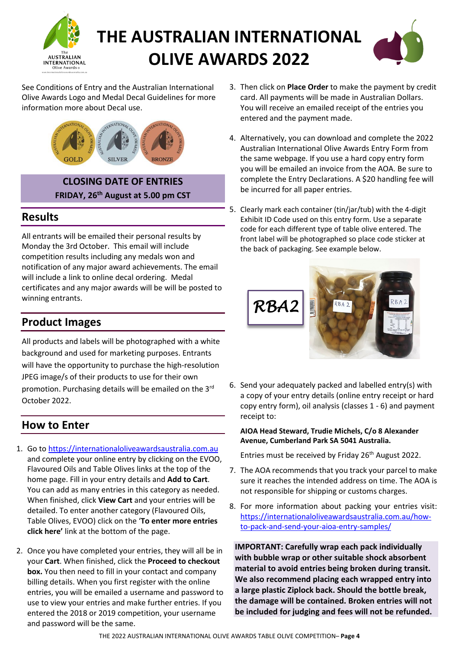



See Conditions of Entry and the Australian International Olive Awards Logo and Medal Decal Guidelines for more information more about Decal use.



**CLOSING DATE OF ENTRIES FRIDAY, 26th August at 5.00 pm CST**

### **Results**

All entrants will be emailed their personal results by Monday the 3rd October. This email will include competition results including any medals won and notification of any major award achievements. The email will include a link to online decal ordering. Medal certificates and any major awards will be will be posted to winning entrants.

## **Product Images**

All products and labels will be photographed with a white background and used for marketing purposes. Entrants will have the opportunity to purchase the high-resolution JPEG image/s of their products to use for their own promotion. Purchasing details will be emailed on the 3rd October 2022.

### **How to Enter**

- 1. Go t[o https://internationaloliveawardsaustralia.com.au](https://internationaloliveawardsaustralia.com.au/)  and complete your online entry by clicking on the EVOO, Flavoured Oils and Table Olives links at the top of the home page. Fill in your entry details and **Add to Cart**. You can add as many entries in this category as needed. When finished, click **View Cart** and your entries will be detailed. To enter another category (Flavoured Oils, Table Olives, EVOO) click on the '**To enter more entries click here'** link at the bottom of the page.
- 2. Once you have completed your entries, they will all be in your **Cart**. When finished, click the **Proceed to checkout box.** You then need to fill in your contact and company billing details. When you first register with the online entries, you will be emailed a username and password to use to view your entries and make further entries. If you entered the 2018 or 2019 competition, your username and password will be the same.
- 3. Then click on **Place Order** to make the payment by credit card. All payments will be made in Australian Dollars. You will receive an emailed receipt of the entries you entered and the payment made.
- 4. Alternatively, you can download and complete the 2022 Australian International Olive Awards Entry Form from the same webpage. If you use a hard copy entry form you will be emailed an invoice from the AOA. Be sure to complete the Entry Declarations. A \$20 handling fee will be incurred for all paper entries.
- 5. Clearly mark each container (tin/jar/tub) with the 4-digit Exhibit ID Code used on this entry form. Use a separate code for each different type of table olive entered. The front label will be photographed so place code sticker at the back of packaging. See example below.



6. Send your adequately packed and labelled entry(s) with a copy of your entry details (online entry receipt or hard copy entry form), oil analysis (classes 1 - 6) and payment receipt to:

#### **AIOA Head Steward, Trudie Michels, C/o 8 Alexander Avenue, Cumberland Park SA 5041 Australia.**

Entries must be received by Friday 26<sup>th</sup> August 2022.

- 7. The AOA recommends that you track your parcel to make sure it reaches the intended address on time. The AOA is not responsible for shipping or customs charges.
- 8. For more information about packing your entries visit: [https://internationaloliveawardsaustralia.com.au/how](https://internationaloliveawardsaustralia.com.au/how-to-pack-and-send-your-aioa-entry-samples/)[to-pack-and-send-your-aioa-entry-samples/](https://internationaloliveawardsaustralia.com.au/how-to-pack-and-send-your-aioa-entry-samples/)

**IMPORTANT: Carefully wrap each pack individually with bubble wrap or other suitable shock absorbent material to avoid entries being broken during transit. We also recommend placing each wrapped entry into a large plastic Ziplock back. Should the bottle break, the damage will be contained. Broken entries will not be included for judging and fees will not be refunded.**